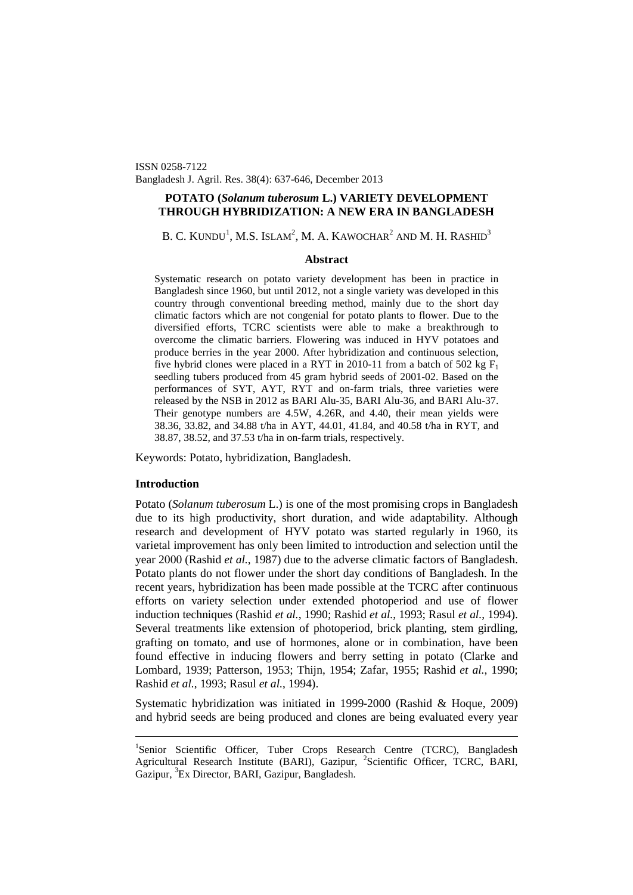ISSN 0258-7122 Bangladesh J. Agril. Res. 38(4): 637-646, December 2013

# **POTATO (***Solanum tuberosum* **L.) VARIETY DEVELOPMENT THROUGH HYBRIDIZATION: A NEW ERA IN BANGLADESH**

B. C. KUNDU<sup>[1](#page-0-0)</sup>, M.S. Islam<sup>2</sup>, M. A. Kawochar<sup>2</sup> and M. H. Rashid<sup>3</sup>

### **Abstract**

Systematic research on potato variety development has been in practice in Bangladesh since 1960, but until 2012, not a single variety was developed in this country through conventional breeding method, mainly due to the short day climatic factors which are not congenial for potato plants to flower. Due to the diversified efforts, TCRC scientists were able to make a breakthrough to overcome the climatic barriers. Flowering was induced in HYV potatoes and produce berries in the year 2000. After hybridization and continuous selection, five hybrid clones were placed in a RYT in 2010-11 from a batch of 502 kg  $F_1$ seedling tubers produced from 45 gram hybrid seeds of 2001-02. Based on the performances of SYT, AYT, RYT and on-farm trials, three varieties were released by the NSB in 2012 as BARI Alu-35, BARI Alu-36, and BARI Alu-37. Their genotype numbers are 4.5W, 4.26R, and 4.40, their mean yields were 38.36, 33.82, and 34.88 t/ha in AYT, 44.01, 41.84, and 40.58 t/ha in RYT, and 38.87, 38.52, and 37.53 t/ha in on-farm trials, respectively.

Keywords: Potato, hybridization, Bangladesh.

## **Introduction**

Potato (*Solanum tuberosum* L.) is one of the most promising crops in Bangladesh due to its high productivity, short duration, and wide adaptability. Although research and development of HYV potato was started regularly in 1960, its varietal improvement has only been limited to introduction and selection until the year 2000 (Rashid *et al.*, 1987) due to the adverse climatic factors of Bangladesh. Potato plants do not flower under the short day conditions of Bangladesh. In the recent years, hybridization has been made possible at the TCRC after continuous efforts on variety selection under extended photoperiod and use of flower induction techniques (Rashid *et al.*, 1990; Rashid *et al.*, 1993; Rasul *et al.*, 1994). Several treatments like extension of photoperiod, brick planting, stem girdling, grafting on tomato, and use of hormones, alone or in combination, have been found effective in inducing flowers and berry setting in potato (Clarke and Lombard, 1939; Patterson, 1953; Thijn, 1954; Zafar, 1955; Rashid *et al.*, 1990; Rashid *et al.*, 1993; Rasul *et al.*, 1994).

Systematic hybridization was initiated in 1999-2000 (Rashid & Hoque, 2009) and hybrid seeds are being produced and clones are being evaluated every year

<span id="page-0-0"></span><sup>&</sup>lt;sup>1</sup>Senior Scientific Officer, Tuber Crops Research Centre (TCRC), Bangladesh Agricultural Research Institute (BARI), Gazipur, <sup>2</sup>Scientific Officer, TCRC, BARI, Gazipur, <sup>3</sup>Ex Director, BARI, Gazipur, Bangladesh.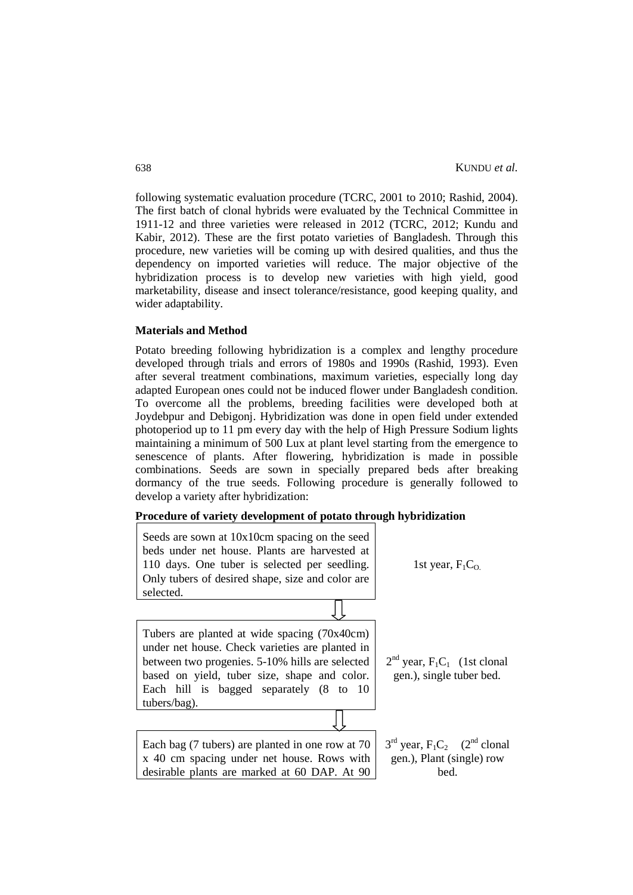following systematic evaluation procedure (TCRC, 2001 to 2010; Rashid, 2004). The first batch of clonal hybrids were evaluated by the Technical Committee in 1911-12 and three varieties were released in 2012 (TCRC, 2012; Kundu and Kabir, 2012). These are the first potato varieties of Bangladesh. Through this procedure, new varieties will be coming up with desired qualities, and thus the dependency on imported varieties will reduce. The major objective of the hybridization process is to develop new varieties with high yield, good marketability, disease and insect tolerance/resistance, good keeping quality, and wider adaptability.

#### **Materials and Method**

Potato breeding following hybridization is a complex and lengthy procedure developed through trials and errors of 1980s and 1990s (Rashid, 1993). Even after several treatment combinations, maximum varieties, especially long day adapted European ones could not be induced flower under Bangladesh condition. To overcome all the problems, breeding facilities were developed both at Joydebpur and Debigonj. Hybridization was done in open field under extended photoperiod up to 11 pm every day with the help of High Pressure Sodium lights maintaining a minimum of 500 Lux at plant level starting from the emergence to senescence of plants. After flowering, hybridization is made in possible combinations. Seeds are sown in specially prepared beds after breaking dormancy of the true seeds. Following procedure is generally followed to develop a variety after hybridization:

# **Procedure of variety development of potato through hybridization**

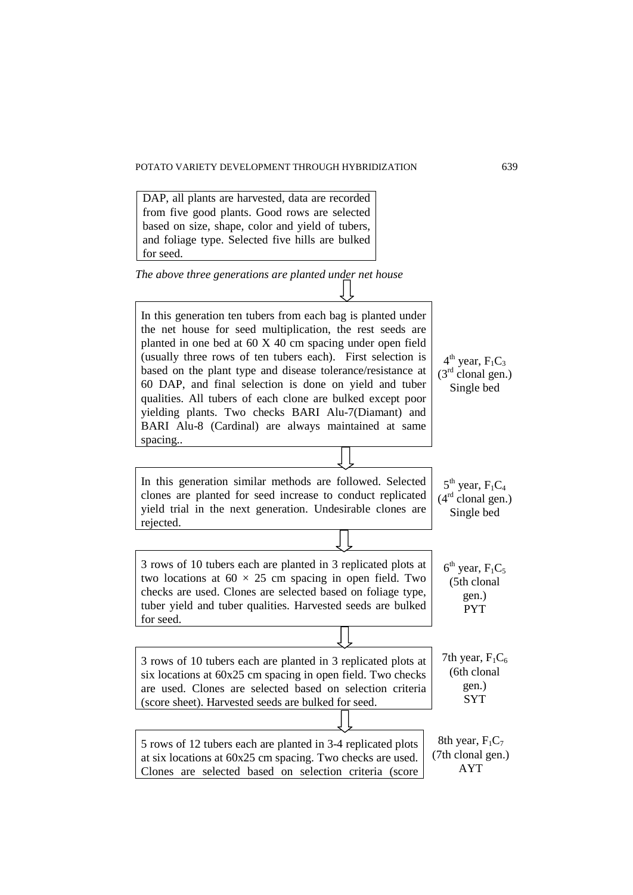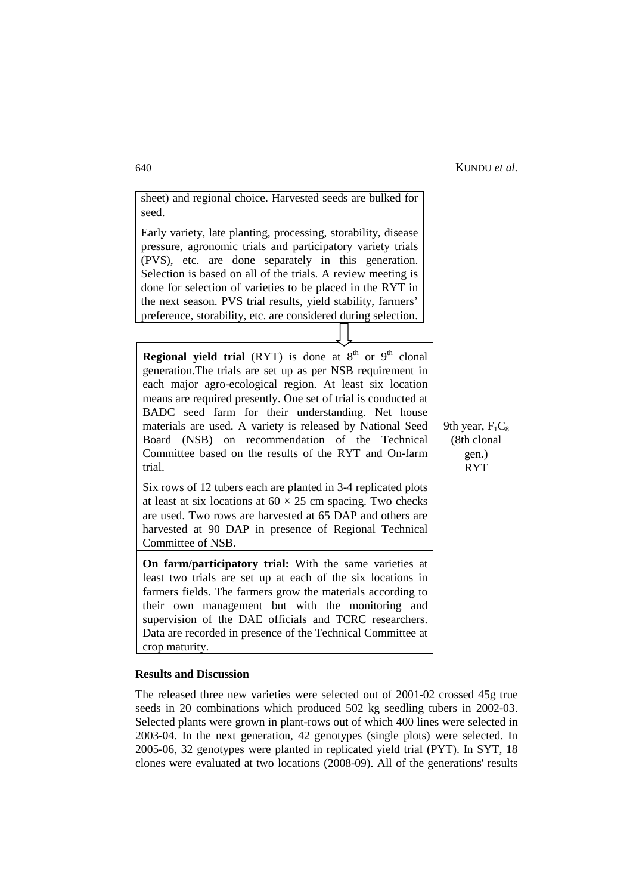9th year,  $F_1C_8$ (8th clonal gen.) RYT

sheet) and regional choice. Harvested seeds are bulked for seed.

Early variety, late planting, processing, storability, disease pressure, agronomic trials and participatory variety trials (PVS), etc. are done separately in this generation. Selection is based on all of the trials. A review meeting is done for selection of varieties to be placed in the RYT in the next season. PVS trial results, yield stability, farmers' preference, storability, etc. are considered during selection.

**Regional yield trial** (RYT) is done at  $8<sup>th</sup>$  or  $9<sup>th</sup>$  clonal generation.The trials are set up as per NSB requirement in each major agro-ecological region. At least six location means are required presently. One set of trial is conducted at BADC seed farm for their understanding. Net house materials are used. A variety is released by National Seed Board (NSB) on recommendation of the Technical Committee based on the results of the RYT and On-farm trial.

Six rows of 12 tubers each are planted in 3-4 replicated plots at least at six locations at  $60 \times 25$  cm spacing. Two checks are used. Two rows are harvested at 65 DAP and others are harvested at 90 DAP in presence of Regional Technical Committee of NSB.

**On farm/participatory trial:** With the same varieties at least two trials are set up at each of the six locations in farmers fields. The farmers grow the materials according to their own management but with the monitoring and supervision of the DAE officials and TCRC researchers. Data are recorded in presence of the Technical Committee at crop maturity.

#### **Results and Discussion**

The released three new varieties were selected out of 2001-02 crossed 45g true seeds in 20 combinations which produced 502 kg seedling tubers in 2002-03. Selected plants were grown in plant-rows out of which 400 lines were selected in 2003-04. In the next generation, 42 genotypes (single plots) were selected. In 2005-06, 32 genotypes were planted in replicated yield trial (PYT). In SYT, 18 clones were evaluated at two locations (2008-09). All of the generations' results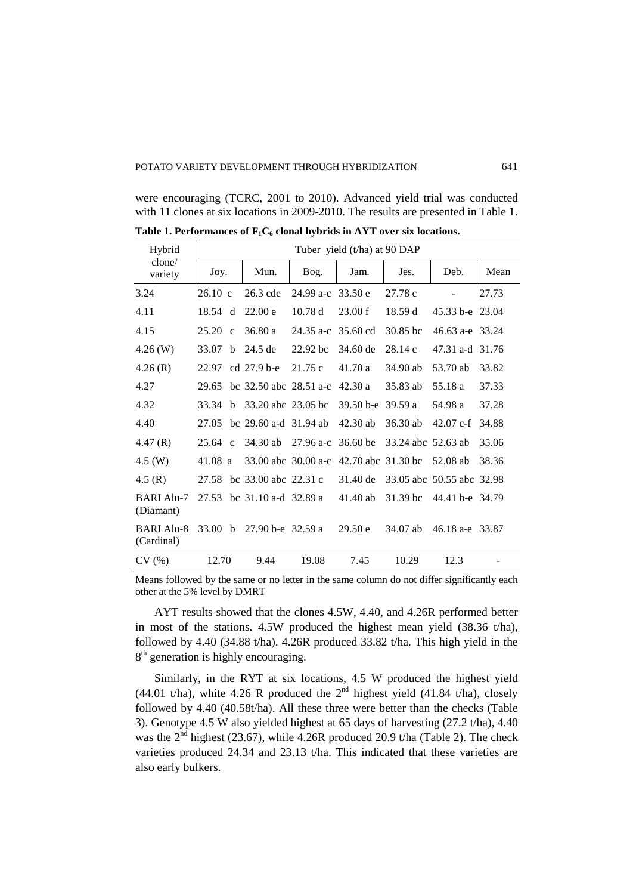|  |  | were encouraging (TCRC, 2001 to 2010). Advanced yield trial was conducted           |  |  |
|--|--|-------------------------------------------------------------------------------------|--|--|
|  |  | with 11 clones at six locations in 2009-2010. The results are presented in Table 1. |  |  |

| Hybrid                          | Tuber yield (t/ha) at 90 DAP |              |                                      |                        |                                        |                    |                           |       |
|---------------------------------|------------------------------|--------------|--------------------------------------|------------------------|----------------------------------------|--------------------|---------------------------|-------|
| clone/<br>variety               | Joy.                         |              | Mun.                                 | Bog.                   | Jam.                                   | Jes.               | Deb.                      | Mean  |
| 3.24                            | $26.10 \text{ c}$            |              | $26.3$ cde                           | $24.99 a-c$            | 33.50 e                                | 27.78 c            |                           | 27.73 |
| 4.11                            | 18.54 d                      |              | 22.00 e                              | 10.78d                 | 23.00 f                                | 18.59d             | 45.33 b-e 23.04           |       |
| 4.15                            | $25.20 \text{ c}$            |              | 36.80a                               | $24.35 a-c$            | 35.60 cd                               | 30.85 bc           | 46.63 a-e 33.24           |       |
| 4.26(W)                         | 33.07                        | <sub>b</sub> | $24.5$ de                            | $22.92$ bc             | $34.60$ de                             | 28.14c             | 47.31 a-d 31.76           |       |
| 4.26(R)                         | 22.97                        |              | cd 27.9 b-e                          | 21.75c                 | 41.70a                                 | 34.90 ab           | 53.70 ab                  | 33.82 |
| 4.27                            | 29.65                        |              | bc $32.50$ abc $28.51$ a-c $42.30$ a |                        |                                        | 35.83 ab           | 55.18 a                   | 37.33 |
| 4.32                            | 33.34                        | <sub>b</sub> | 33.20 abc 23.05 bc                   |                        | 39.50 b-e 39.59 a                      |                    | 54.98 a                   | 37.28 |
| 4.40                            | 27.05                        |              | bc $29.60$ a-d $31.94$ ab            |                        | $42.30$ ab                             | $36.30$ ab         | $42.07 \text{ c-f}$       | 34.88 |
| 4.47(R)                         | $25.64 \text{ c}$            |              | $34.30$ ab                           | $27.96$ a-c $36.60$ be |                                        | 33.24 abc 52.63 ab |                           | 35.06 |
| $4.5$ (W)                       | 41.08 a                      |              |                                      |                        | 33.00 abc 30.00 a-c 42.70 abc 31.30 bc |                    | $52.08$ ab                | 38.36 |
| 4.5 $(R)$                       | 27.58                        |              | bc 33.00 abc 22.31 c                 |                        | 31.40 de                               |                    | 33.05 abc 50.55 abc 32.98 |       |
| <b>BARI Alu-7</b><br>(Diamant)  | 27.53                        |              | bc $31.10$ a-d $32.89$ a             |                        | 41.40 ab                               | 31.39 bc           | 44.41 b-e 34.79           |       |
| <b>BARI Alu-8</b><br>(Cardinal) | 33.00 h                      |              | 27.90 b-e 32.59 a                    |                        | 29.50 e                                | 34.07 ab           | 46.18 a-e 33.87           |       |
| CV(%)                           | 12.70                        |              | 9.44                                 | 19.08                  | 7.45                                   | 10.29              | 12.3                      |       |

Table 1. Performances of  $F_1C_6$  clonal hybrids in AYT over six locations.

Means followed by the same or no letter in the same column do not differ significantly each other at the 5% level by DMRT

AYT results showed that the clones 4.5W, 4.40, and 4.26R performed better in most of the stations. 4.5W produced the highest mean yield (38.36 t/ha), followed by 4.40 (34.88 t/ha). 4.26R produced 33.82 t/ha. This high yield in the 8<sup>th</sup> generation is highly encouraging.

Similarly, in the RYT at six locations, 4.5 W produced the highest yield (44.01 t/ha), white 4.26 R produced the  $2<sup>nd</sup>$  highest yield (41.84 t/ha), closely followed by 4.40 (40.58t/ha). All these three were better than the checks (Table 3). Genotype 4.5 W also yielded highest at 65 days of harvesting (27.2 t/ha), 4.40 was the  $2<sup>nd</sup>$  highest (23.67), while 4.26R produced 20.9 t/ha (Table 2). The check varieties produced 24.34 and 23.13 t/ha. This indicated that these varieties are also early bulkers.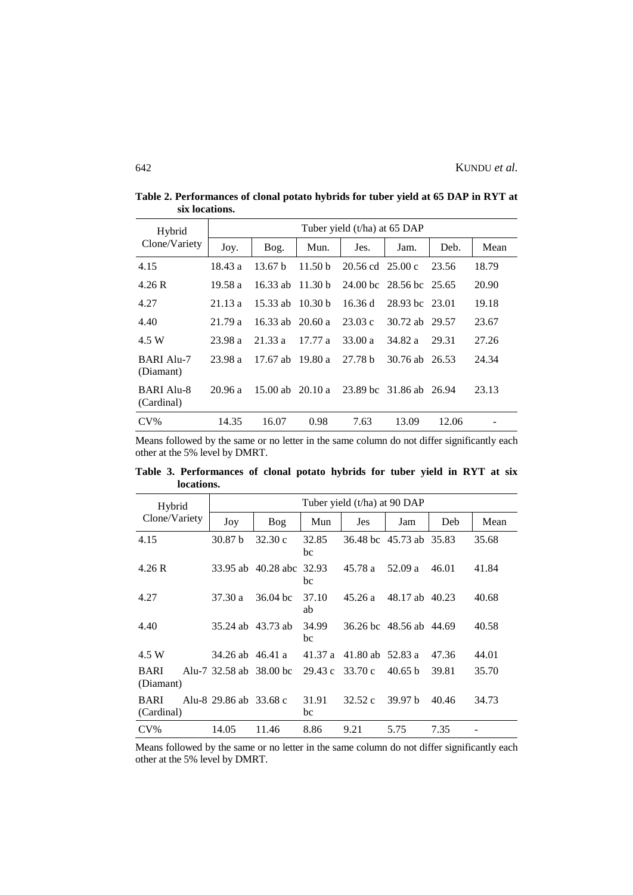| Hybrid                          | Tuber yield (t/ha) at 65 DAP |                    |                    |                                      |                         |       |       |  |  |
|---------------------------------|------------------------------|--------------------|--------------------|--------------------------------------|-------------------------|-------|-------|--|--|
| Clone/Variety                   | Joy.                         | Bog.               | Mun.               | Jes.                                 | Jam.                    | Deb.  | Mean  |  |  |
| 4.15                            | 18.43 a                      | 13.67 <sub>b</sub> | 11.50 <sub>b</sub> | $20.56 \text{ cd}$ $25.00 \text{ c}$ |                         | 23.56 | 18.79 |  |  |
| 4.26R                           | 19.58 a                      | $16.33$ ab         | 11.30 <sub>b</sub> |                                      | 24.00 bc 28.56 bc 25.65 |       | 20.90 |  |  |
| 4.27                            | 21.13a                       | $15.33$ ab         | 10.30 <sub>b</sub> | 16.36 d                              | 28.93 bc 23.01          |       | 19.18 |  |  |
| 4.40                            | 21.79a                       | 16.33 ab $20.60 a$ |                    | 23.03c                               | 30.72 ab 29.57          |       | 23.67 |  |  |
| 4.5 W                           | 23.98 a                      | 21.33a             | 17.77a             | 33.00a                               | 34.82 a                 | 29.31 | 27.26 |  |  |
| BARI Alu-7<br>(Diamant)         | 23.98a                       | $17.67$ ab         | 19.80 a            | 27.78 h                              | 30.76 ab 26.53          |       | 24.34 |  |  |
| <b>BARI Alu-8</b><br>(Cardinal) | 20.96a                       | 15.00 ab $20.10 a$ |                    |                                      | 23.89 bc 31.86 ab 26.94 |       | 23.13 |  |  |
| $CV\%$                          | 14.35                        | 16.07              | 0.98               | 7.63                                 | 13.09                   | 12.06 |       |  |  |

**Table 2. Performances of clonal potato hybrids for tuber yield at 65 DAP in RYT at six locations.**

Means followed by the same or no letter in the same column do not differ significantly each other at the 5% level by DMRT.

**Table 3. Performances of clonal potato hybrids for tuber yield in RYT at six locations.**

| Hybrid                    |                         |                    |             | Tuber yield (t/ha) at 90 DAP |                         |       |       |
|---------------------------|-------------------------|--------------------|-------------|------------------------------|-------------------------|-------|-------|
| Clone/Variety             | Joy                     | Bog                | Mun         | Jes                          | Jam                     | Deb   | Mean  |
| 4.15                      | 30.87 <sub>b</sub>      | 32.30c             | 32.85<br>bc |                              | 36.48 bc 45.73 ab       | 35.83 | 35.68 |
| 4.26R                     |                         | 33.95 ab 40.28 abc | 32.93<br>bc | 45.78 a                      | 52.09 a                 | 46.01 | 41.84 |
| 4.27                      | 37.30 a                 | $36.04$ bc         | 37.10<br>ab | 45.26a                       | 48.17 ab 40.23          |       | 40.68 |
| 4.40                      | 35.24 ab 43.73 ab       |                    | 34.99<br>bc |                              | 36.26 bc 48.56 ab 44.69 |       | 40.58 |
| 4.5 W                     | 34.26 ab 46.41 a        |                    | 41.37 a     | 41.80 ab $52.83$ a           |                         | 47.36 | 44.01 |
| <b>BARI</b><br>(Diamant)  | Alu-7 32.58 ab 38.00 bc |                    | 29.43 c     | 33.70 c                      | 40.65 <sub>b</sub>      | 39.81 | 35.70 |
| <b>BARI</b><br>(Cardinal) | Alu-8 29.86 ab 33.68 c  |                    | 31.91<br>bc | 32.52c                       | 39.97 <sub>b</sub>      | 40.46 | 34.73 |
| $CV\%$                    | 14.05                   | 11.46              | 8.86        | 9.21                         | 5.75                    | 7.35  |       |

Means followed by the same or no letter in the same column do not differ significantly each other at the 5% level by DMRT.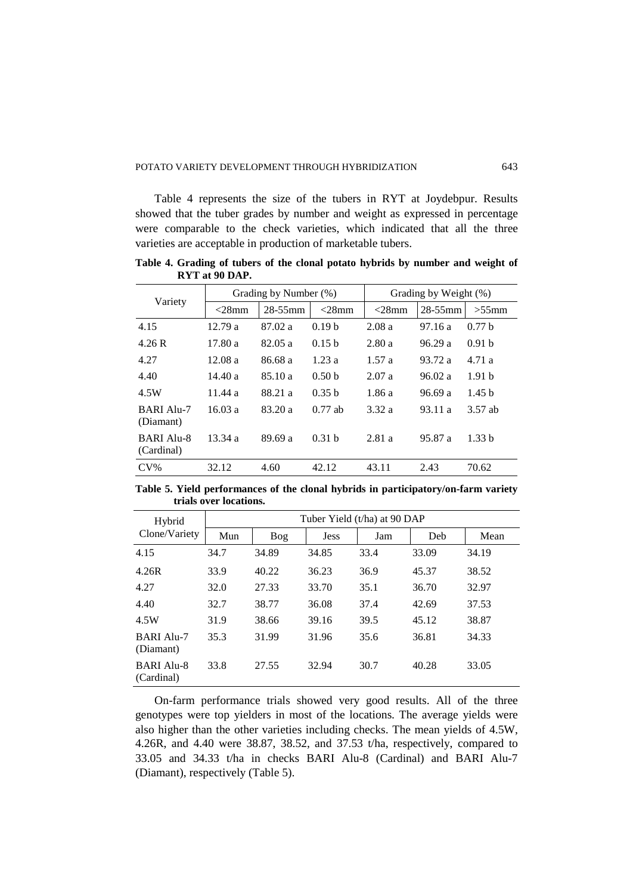Table 4 represents the size of the tubers in RYT at Joydebpur. Results showed that the tuber grades by number and weight as expressed in percentage were comparable to the check varieties, which indicated that all the three varieties are acceptable in production of marketable tubers.

**Table 4. Grading of tubers of the clonal potato hybrids by number and weight of RYT at 90 DAP.**

| Variety                         |          | Grading by Number (%) |                   | Grading by Weight (%) |              |                   |
|---------------------------------|----------|-----------------------|-------------------|-----------------------|--------------|-------------------|
|                                 | $<$ 28mm | $28 - 55$ mm          | $<$ 28mm          | $<$ 28mm              | $28 - 55$ mm | $>55$ mm          |
| 4.15                            | 12.79a   | 87.02 a               | 0.19 <sub>b</sub> | 2.08a                 | 97.16a       | 0.77 <sub>b</sub> |
| 4.26R                           | 17.80a   | 82.05a                | 0.15 <sub>b</sub> | 2.80a                 | 96.29a       | 0.91 <sub>b</sub> |
| 4.27                            | 12.08a   | 86.68 a               | 1.23a             | 1.57a                 | 93.72 a      | 4.71a             |
| 4.40                            | 14.40a   | 85.10 a               | 0.50 <sub>b</sub> | 2.07a                 | 96.02a       | 1.91 <sub>b</sub> |
| 4.5W                            | 11.44a   | 88.21 a               | 0.35 <sub>b</sub> | 1.86a                 | 96.69 a      | 1.45 <sub>b</sub> |
| <b>BARI Alu-7</b><br>(Diamant)  | 16.03a   | 83.20 a               | $0.77$ ab         | 3.32 a                | 93.11 a      | 3.57 ab           |
| <b>BARI Alu-8</b><br>(Cardinal) | 13.34a   | 89.69 a               | 0.31h             | 2.81a                 | 95.87 a      | 1.33 <sub>b</sub> |
| $CV\%$                          | 32.12    | 4.60                  | 42.12             | 43.11                 | 2.43         | 70.62             |

**Table 5. Yield performances of the clonal hybrids in participatory/on-farm variety trials over locations.**

| Hybrid                          |      |       |             | Tuber Yield (t/ha) at 90 DAP |       |       |  |  |  |  |
|---------------------------------|------|-------|-------------|------------------------------|-------|-------|--|--|--|--|
| Clone/Variety                   | Mun  | Bog   | <b>Jess</b> | Jam                          | Deb   | Mean  |  |  |  |  |
| 4.15                            | 34.7 | 34.89 | 34.85       | 33.4                         | 33.09 | 34.19 |  |  |  |  |
| 4.26R                           | 33.9 | 40.22 | 36.23       | 36.9                         | 45.37 | 38.52 |  |  |  |  |
| 4.27                            | 32.0 | 27.33 | 33.70       | 35.1                         | 36.70 | 32.97 |  |  |  |  |
| 4.40                            | 32.7 | 38.77 | 36.08       | 37.4                         | 42.69 | 37.53 |  |  |  |  |
| 4.5W                            | 31.9 | 38.66 | 39.16       | 39.5                         | 45.12 | 38.87 |  |  |  |  |
| <b>BARI Alu-7</b><br>(Diamant)  | 35.3 | 31.99 | 31.96       | 35.6                         | 36.81 | 34.33 |  |  |  |  |
| <b>BARI Alu-8</b><br>(Cardinal) | 33.8 | 27.55 | 32.94       | 30.7                         | 40.28 | 33.05 |  |  |  |  |

On-farm performance trials showed very good results. All of the three genotypes were top yielders in most of the locations. The average yields were also higher than the other varieties including checks. The mean yields of 4.5W, 4.26R, and 4.40 were 38.87, 38.52, and 37.53 t/ha, respectively, compared to 33.05 and 34.33 t/ha in checks BARI Alu-8 (Cardinal) and BARI Alu-7 (Diamant), respectively (Table 5).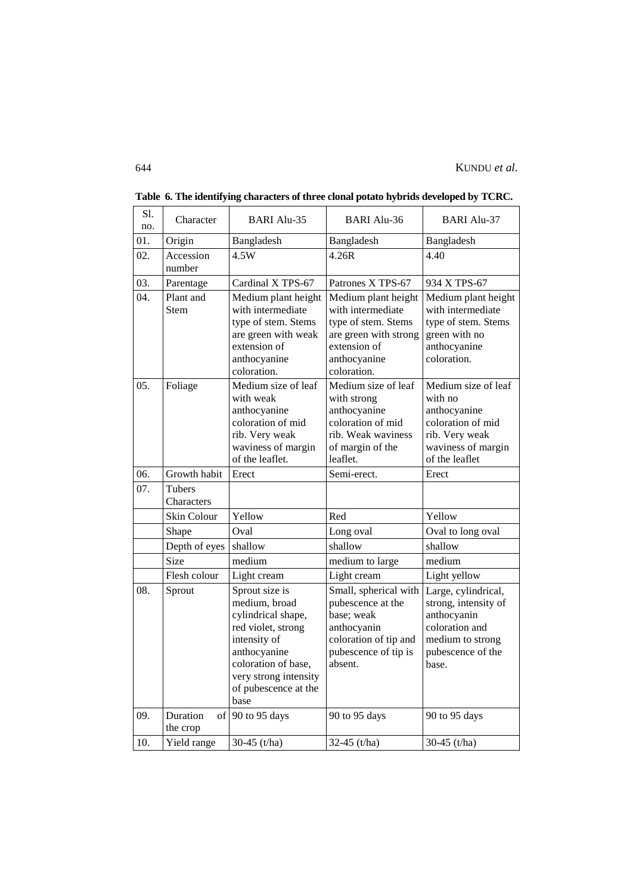| Sl.<br>no. | Character<br><b>BARI Alu-35</b> |                                                                                                                                                                                             | <b>BARI Alu-36</b>                                                                                                                      | <b>BARI Alu-37</b>                                                                                                             |  |
|------------|---------------------------------|---------------------------------------------------------------------------------------------------------------------------------------------------------------------------------------------|-----------------------------------------------------------------------------------------------------------------------------------------|--------------------------------------------------------------------------------------------------------------------------------|--|
| 01.        | Origin                          | Bangladesh                                                                                                                                                                                  | Bangladesh                                                                                                                              | Bangladesh                                                                                                                     |  |
| 02.        | Accession<br>number             | 4.5W                                                                                                                                                                                        | 4.26R                                                                                                                                   | 4.40                                                                                                                           |  |
| 03.        | Parentage                       | Cardinal X TPS-67                                                                                                                                                                           | Patrones X TPS-67                                                                                                                       | 934 X TPS-67                                                                                                                   |  |
| 04.        | Plant and<br><b>Stem</b>        | Medium plant height<br>with intermediate<br>type of stem. Stems<br>are green with weak<br>extension of<br>anthocyanine<br>coloration.                                                       | Medium plant height<br>with intermediate<br>type of stem. Stems<br>are green with strong<br>extension of<br>anthocyanine<br>coloration. | Medium plant height<br>with intermediate<br>type of stem. Stems<br>green with no<br>anthocyanine<br>coloration.                |  |
| 05.        | Foliage                         | Medium size of leaf<br>with weak<br>anthocyanine<br>coloration of mid<br>rib. Very weak<br>waviness of margin<br>of the leaflet.                                                            | Medium size of leaf<br>with strong<br>anthocyanine<br>coloration of mid<br>rib. Weak waviness<br>of margin of the<br>leaflet.           | Medium size of leaf<br>with no<br>anthocyanine<br>coloration of mid<br>rib. Very weak<br>waviness of margin<br>of the leaflet  |  |
| 06.        | Growth habit                    | Erect                                                                                                                                                                                       | Semi-erect.                                                                                                                             | Erect                                                                                                                          |  |
| 07.        | Tubers<br>Characters            |                                                                                                                                                                                             |                                                                                                                                         |                                                                                                                                |  |
|            | Skin Colour                     | Yellow                                                                                                                                                                                      | Red                                                                                                                                     | Yellow                                                                                                                         |  |
|            | Shape                           | Oval                                                                                                                                                                                        | Long oval                                                                                                                               | Oval to long oval                                                                                                              |  |
|            | Depth of eyes                   | shallow                                                                                                                                                                                     | shallow                                                                                                                                 | shallow                                                                                                                        |  |
|            | Size                            | medium                                                                                                                                                                                      | medium to large                                                                                                                         | medium                                                                                                                         |  |
|            | Flesh colour                    | Light cream                                                                                                                                                                                 | Light cream                                                                                                                             | Light yellow                                                                                                                   |  |
| 08.        | Sprout                          | Sprout size is<br>medium, broad<br>cylindrical shape,<br>red violet, strong<br>intensity of<br>anthocyanine<br>coloration of base,<br>very strong intensity<br>of pubescence at the<br>base | Small, spherical with<br>pubescence at the<br>base; weak<br>anthocyanin<br>coloration of tip and<br>pubescence of tip is<br>absent.     | Large, cylindrical,<br>strong, intensity of<br>anthocyanin<br>coloration and<br>medium to strong<br>pubescence of the<br>base. |  |
| 09.        | Duration<br>the crop            | of 90 to 95 days                                                                                                                                                                            | 90 to 95 days                                                                                                                           | 90 to 95 days                                                                                                                  |  |
| 10.        | Yield range                     | 30-45 (t/ha)                                                                                                                                                                                | 32-45 (t/ha)                                                                                                                            | 30-45 (t/ha)                                                                                                                   |  |

**Table 6. The identifying characters of three clonal potato hybrids developed by TCRC.**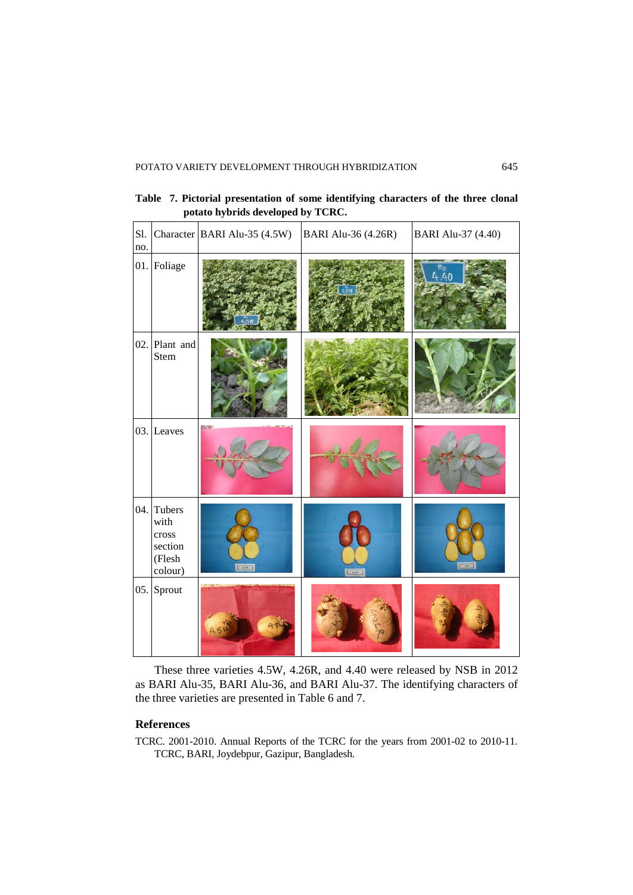**Table 7. Pictorial presentation of some identifying characters of the three clonal potato hybrids developed by TCRC.**

| Sl.<br>no. |                                                         | Character BARI Alu-35 (4.5W) | BARI Alu-36 (4.26R) | <b>BARI Alu-37 (4.40)</b> |
|------------|---------------------------------------------------------|------------------------------|---------------------|---------------------------|
|            | 01. Foliage                                             |                              |                     | Rо<br>440                 |
|            | 02. Plant and<br>Stem                                   |                              |                     |                           |
|            | 03. Leaves                                              |                              |                     |                           |
| 04.        | Tubers<br>with<br>cross<br>section<br>(Flesh<br>colour) | $-$                          | (398)               |                           |
|            | 05. Sprout                                              |                              |                     |                           |

These three varieties 4.5W, 4.26R, and 4.40 were released by NSB in 2012 as BARI Alu-35, BARI Alu-36, and BARI Alu-37. The identifying characters of the three varieties are presented in Table 6 and 7.

# **References**

TCRC. 2001-2010. Annual Reports of the TCRC for the years from 2001-02 to 2010-11. TCRC, BARI, Joydebpur, Gazipur, Bangladesh.